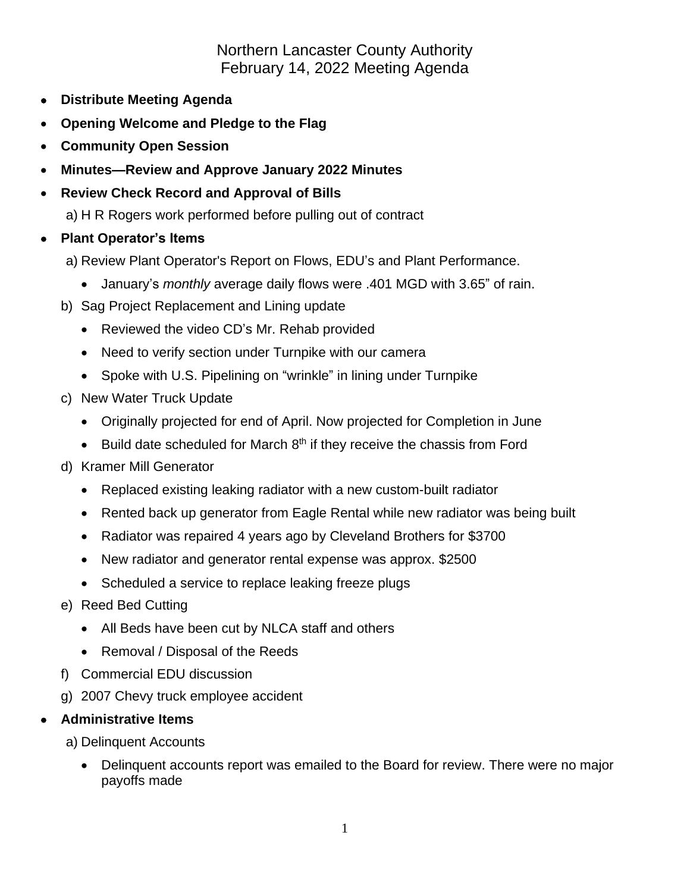## Northern Lancaster County Authority February 14, 2022 Meeting Agenda

- **Distribute Meeting Agenda**
- **Opening Welcome and Pledge to the Flag**
- **Community Open Session**
- **Minutes—Review and Approve January 2022 Minutes**
- **Review Check Record and Approval of Bills**

a) H R Rogers work performed before pulling out of contract

- **Plant Operator's Items**
	- a) Review Plant Operator's Report on Flows, EDU's and Plant Performance.
		- January's *monthly* average daily flows were .401 MGD with 3.65" of rain.
	- b) Sag Project Replacement and Lining update
		- Reviewed the video CD's Mr. Rehab provided
		- Need to verify section under Turnpike with our camera
		- Spoke with U.S. Pipelining on "wrinkle" in lining under Turnpike
	- c) New Water Truck Update
		- Originally projected for end of April. Now projected for Completion in June
		- $\bullet$  Build date scheduled for March  $8<sup>th</sup>$  if they receive the chassis from Ford
	- d) Kramer Mill Generator
		- Replaced existing leaking radiator with a new custom-built radiator
		- Rented back up generator from Eagle Rental while new radiator was being built
		- Radiator was repaired 4 years ago by Cleveland Brothers for \$3700
		- New radiator and generator rental expense was approx. \$2500
		- Scheduled a service to replace leaking freeze plugs
	- e) Reed Bed Cutting
		- All Beds have been cut by NLCA staff and others
		- Removal / Disposal of the Reeds
	- f) Commercial EDU discussion
	- g) 2007 Chevy truck employee accident

## • **Administrative Items**

a) Delinquent Accounts

• Delinquent accounts report was emailed to the Board for review. There were no major payoffs made